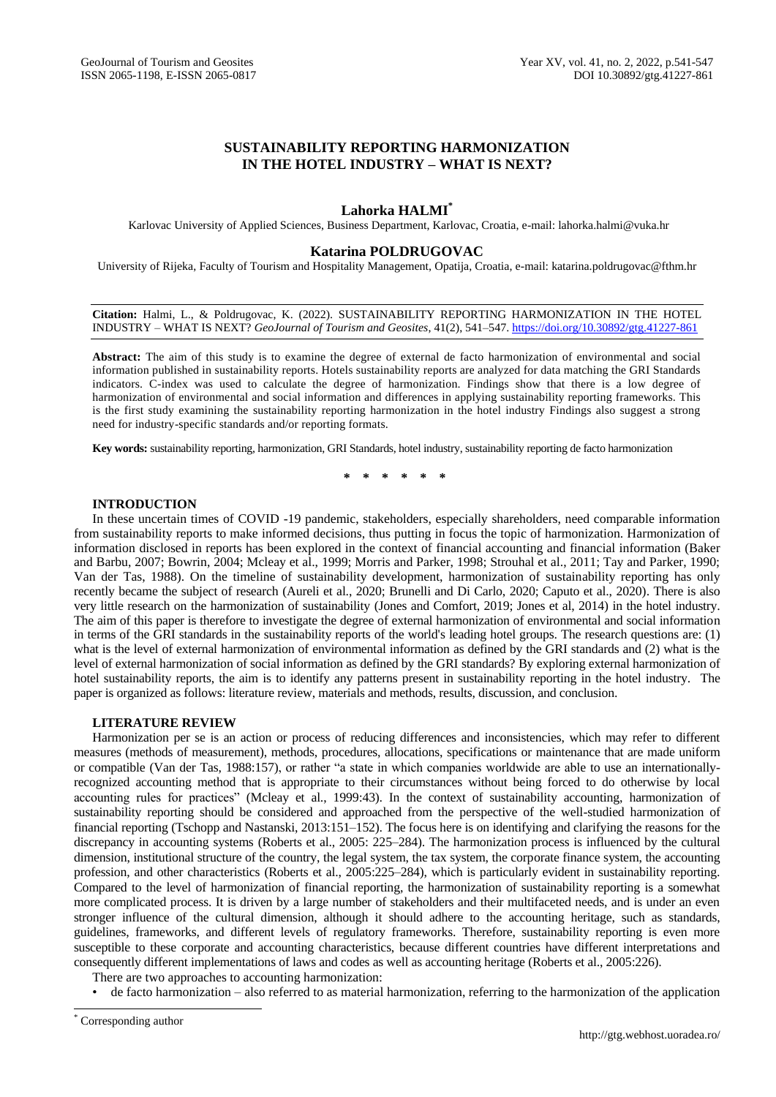# **SUSTAINABILITY REPORTING HARMONIZATION IN THE HOTEL INDUSTRY – WHAT IS NEXT?**

## **Lahorka HALMI\***

Karlovac University of Applied Sciences, Business Department, Karlovac, Croatia, e-mail: lahorka.halmi@vuka.hr

### **Katarina POLDRUGOVAC**

University of Rijeka, Faculty of Tourism and Hospitality Management, Opatija, Croatia, e-mail: katarina.poldrugovac@fthm.hr

**Citation:** Halmi, L., & Poldrugovac, K. (2022). SUSTAINABILITY REPORTING HARMONIZATION IN THE HOTEL INDUSTRY – WHAT IS NEXT? *GeoJournal of Tourism and Geosites*, 41(2), 541–547. <https://doi.org/10.30892/gtg.41227-861>

**Abstract:** The aim of this study is to examine the degree of external de facto harmonization of environmental and social information published in sustainability reports. Hotels sustainability reports are analyzed for data matching the GRI Standards indicators. C-index was used to calculate the degree of harmonization. Findings show that there is a low degree of harmonization of environmental and social information and differences in applying sustainability reporting frameworks. This is the first study examining the sustainability reporting harmonization in the hotel industry Findings also suggest a strong need for industry-specific standards and/or reporting formats.

**Key words:** sustainability reporting, harmonization, GRI Standards, hotel industry, sustainability reporting de facto harmonization

**\* \* \* \* \* \***

## **INTRODUCTION**

In these uncertain times of COVID -19 pandemic, stakeholders, especially shareholders, need comparable information from sustainability reports to make informed decisions, thus putting in focus the topic of harmonization. Harmonization of information disclosed in reports has been explored in the context of financial accounting and financial information (Baker and Barbu, 2007; Bowrin, 2004; Mcleay et al., 1999; Morris and Parker, 1998; Strouhal et al., 2011; Tay and Parker, 1990; Van der Tas, 1988). On the timeline of sustainability development, harmonization of sustainability reporting has only recently became the subject of research (Aureli et al., 2020; Brunelli and Di Carlo, 2020; Caputo et al., 2020). There is also very little research on the harmonization of sustainability (Jones and Comfort, 2019; Jones et al, 2014) in the hotel industry. The aim of this paper is therefore to investigate the degree of external harmonization of environmental and social information in terms of the GRI standards in the sustainability reports of the world's leading hotel groups. The research questions are: (1) what is the level of external harmonization of environmental information as defined by the GRI standards and (2) what is the level of external harmonization of social information as defined by the GRI standards? By exploring external harmonization of hotel sustainability reports, the aim is to identify any patterns present in sustainability reporting in the hotel industry. The paper is organized as follows: literature review, materials and methods, results, discussion, and conclusion.

## **LITERATURE REVIEW**

Harmonization per se is an action or process of reducing differences and inconsistencies, which may refer to different measures (methods of measurement), methods, procedures, allocations, specifications or maintenance that are made uniform or compatible (Van der Tas, 1988:157), or rather "a state in which companies worldwide are able to use an internationallyrecognized accounting method that is appropriate to their circumstances without being forced to do otherwise by local accounting rules for practices" (Mcleay et al., 1999:43). In the context of sustainability accounting, harmonization of sustainability reporting should be considered and approached from the perspective of the well-studied harmonization of financial reporting (Tschopp and Nastanski, 2013:151–152). The focus here is on identifying and clarifying the reasons for the discrepancy in accounting systems (Roberts et al., 2005: 225–284). The harmonization process is influenced by the cultural dimension, institutional structure of the country, the legal system, the tax system, the corporate finance system, the accounting profession, and other characteristics (Roberts et al., 2005:225–284), which is particularly evident in sustainability reporting. Compared to the level of harmonization of financial reporting, the harmonization of sustainability reporting is a somewhat more complicated process. It is driven by a large number of stakeholders and their multifaceted needs, and is under an even stronger influence of the cultural dimension, although it should adhere to the accounting heritage, such as standards, guidelines, frameworks, and different levels of regulatory frameworks. Therefore, sustainability reporting is even more susceptible to these corporate and accounting characteristics, because different countries have different interpretations and consequently different implementations of laws and codes as well as accounting heritage (Roberts et al., 2005:226).

There are two approaches to accounting harmonization:

• de facto harmonization – also referred to as material harmonization, referring to the harmonization of the application

 $\overline{a}$ 

Corresponding author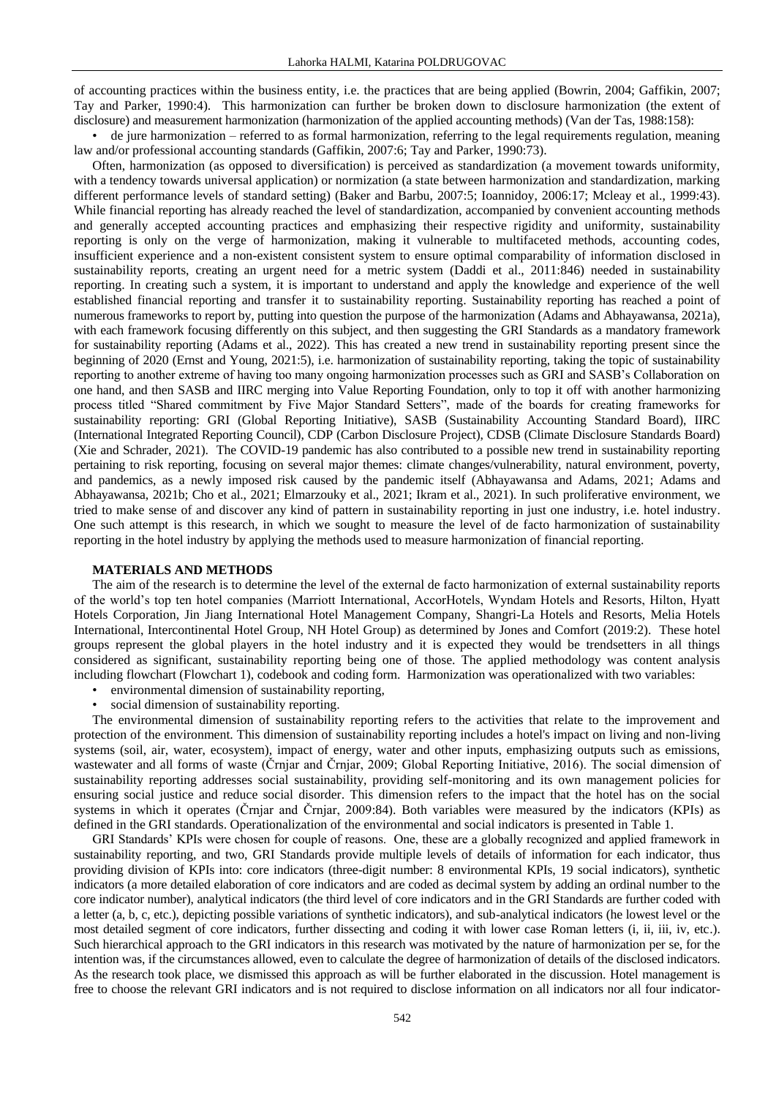of accounting practices within the business entity, i.e. the practices that are being applied (Bowrin, 2004; Gaffikin, 2007; Tay and Parker, 1990:4). This harmonization can further be broken down to disclosure harmonization (the extent of disclosure) and measurement harmonization (harmonization of the applied accounting methods) (Van der Tas, 1988:158):

• de jure harmonization – referred to as formal harmonization, referring to the legal requirements regulation, meaning law and/or professional accounting standards (Gaffikin, 2007:6; Tay and Parker, 1990:73).

Often, harmonization (as opposed to diversification) is perceived as standardization (a movement towards uniformity, with a tendency towards universal application) or normization (a state between harmonization and standardization, marking different performance levels of standard setting) (Baker and Barbu, 2007:5; Ioannidoy, 2006:17; Mcleay et al., 1999:43). While financial reporting has already reached the level of standardization, accompanied by convenient accounting methods and generally accepted accounting practices and emphasizing their respective rigidity and uniformity, sustainability reporting is only on the verge of harmonization, making it vulnerable to multifaceted methods, accounting codes, insufficient experience and a non-existent consistent system to ensure optimal comparability of information disclosed in sustainability reports, creating an urgent need for a metric system (Daddi et al., 2011:846) needed in sustainability reporting. In creating such a system, it is important to understand and apply the knowledge and experience of the well established financial reporting and transfer it to sustainability reporting. Sustainability reporting has reached a point of numerous frameworks to report by, putting into question the purpose of the harmonization (Adams and Abhayawansa, 2021a), with each framework focusing differently on this subject, and then suggesting the GRI Standards as a mandatory framework for sustainability reporting (Adams et al., 2022). This has created a new trend in sustainability reporting present since the beginning of 2020 (Ernst and Young, 2021:5), i.e. harmonization of sustainability reporting, taking the topic of sustainability reporting to another extreme of having too many ongoing harmonization processes such as GRI and SASB's Collaboration on one hand, and then SASB and IIRC merging into Value Reporting Foundation, only to top it off with another harmonizing process titled "Shared commitment by Five Major Standard Setters", made of the boards for creating frameworks for sustainability reporting: GRI (Global Reporting Initiative), SASB (Sustainability Accounting Standard Board), IIRC (International Integrated Reporting Council), CDP (Carbon Disclosure Project), CDSB (Climate Disclosure Standards Board) (Xie and Schrader, 2021). The COVID-19 pandemic has also contributed to a possible new trend in sustainability reporting pertaining to risk reporting, focusing on several major themes: climate changes/vulnerability, natural environment, poverty, and pandemics, as a newly imposed risk caused by the pandemic itself (Abhayawansa and Adams, 2021; Adams and Abhayawansa, 2021b; Cho et al., 2021; Elmarzouky et al., 2021; Ikram et al., 2021). In such proliferative environment, we tried to make sense of and discover any kind of pattern in sustainability reporting in just one industry, i.e. hotel industry. One such attempt is this research, in which we sought to measure the level of de facto harmonization of sustainability reporting in the hotel industry by applying the methods used to measure harmonization of financial reporting.

#### **MATERIALS AND METHODS**

The aim of the research is to determine the level of the external de facto harmonization of external sustainability reports of the world's top ten hotel companies (Marriott International, AccorHotels, Wyndam Hotels and Resorts, Hilton, Hyatt Hotels Corporation, Jin Jiang International Hotel Management Company, Shangri-La Hotels and Resorts, Melia Hotels International, Intercontinental Hotel Group, NH Hotel Group) as determined by Jones and Comfort (2019:2). These hotel groups represent the global players in the hotel industry and it is expected they would be trendsetters in all things considered as significant, sustainability reporting being one of those. The applied methodology was content analysis including flowchart (Flowchart 1), codebook and coding form. Harmonization was operationalized with two variables:

- environmental dimension of sustainability reporting,
- social dimension of sustainability reporting.

The environmental dimension of sustainability reporting refers to the activities that relate to the improvement and protection of the environment. This dimension of sustainability reporting includes a hotel's impact on living and non-living systems (soil, air, water, ecosystem), impact of energy, water and other inputs, emphasizing outputs such as emissions, wastewater and all forms of waste (Črnjar and Črnjar, 2009; Global Reporting Initiative, 2016). The social dimension of sustainability reporting addresses social sustainability, providing self-monitoring and its own management policies for ensuring social justice and reduce social disorder. This dimension refers to the impact that the hotel has on the social systems in which it operates (Črnjar and Črnjar, 2009:84). Both variables were measured by the indicators (KPIs) as defined in the GRI standards. Operationalization of the environmental and social indicators is presented in Table 1.

GRI Standards' KPIs were chosen for couple of reasons. One, these are a globally recognized and applied framework in sustainability reporting, and two, GRI Standards provide multiple levels of details of information for each indicator, thus providing division of KPIs into: core indicators (three-digit number: 8 environmental KPIs, 19 social indicators), synthetic indicators (a more detailed elaboration of core indicators and are coded as decimal system by adding an ordinal number to the core indicator number), analytical indicators (the third level of core indicators and in the GRI Standards are further coded with a letter (a, b, c, etc.), depicting possible variations of synthetic indicators), and sub-analytical indicators (he lowest level or the most detailed segment of core indicators, further dissecting and coding it with lower case Roman letters (i, ii, iii, iv, etc.). Such hierarchical approach to the GRI indicators in this research was motivated by the nature of harmonization per se, for the intention was, if the circumstances allowed, even to calculate the degree of harmonization of details of the disclosed indicators. As the research took place, we dismissed this approach as will be further elaborated in the discussion. Hotel management is free to choose the relevant GRI indicators and is not required to disclose information on all indicators nor all four indicator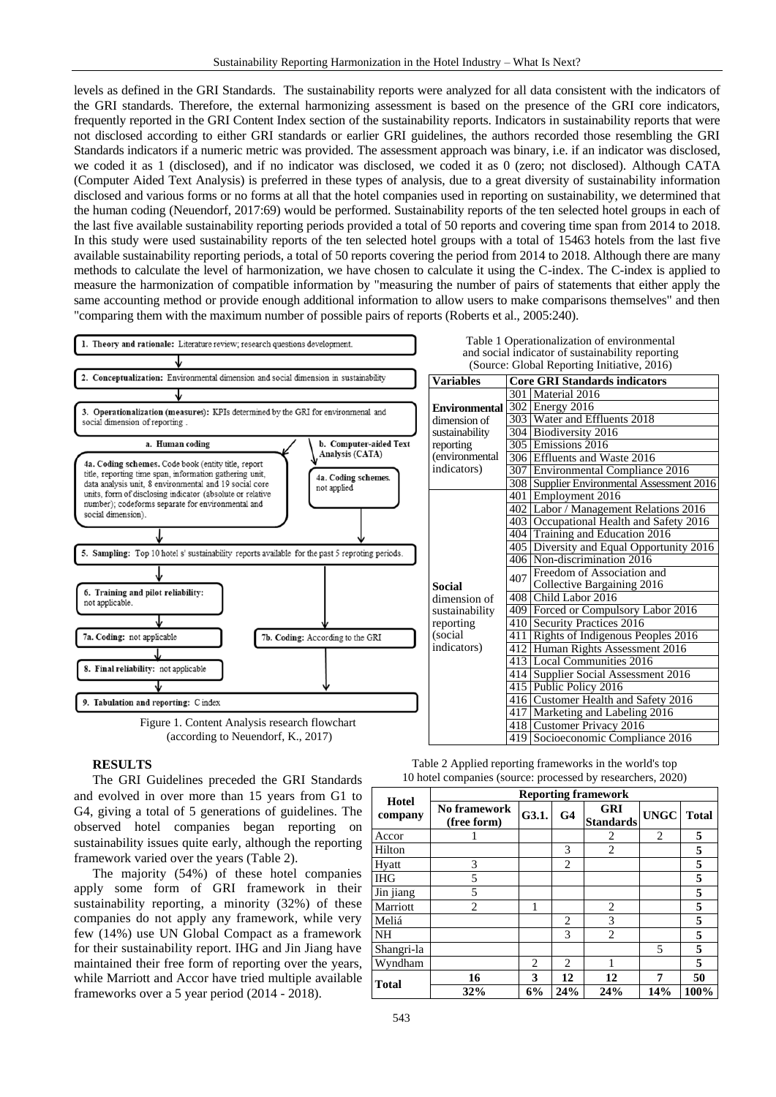levels as defined in the GRI Standards. The sustainability reports were analyzed for all data consistent with the indicators of the GRI standards. Therefore, the external harmonizing assessment is based on the presence of the GRI core indicators, frequently reported in the GRI Content Index section of the sustainability reports. Indicators in sustainability reports that were not disclosed according to either GRI standards or earlier GRI guidelines, the authors recorded those resembling the GRI Standards indicators if a numeric metric was provided. The assessment approach was binary, i.e. if an indicator was disclosed, we coded it as 1 (disclosed), and if no indicator was disclosed, we coded it as 0 (zero; not disclosed). Although CATA (Computer Aided Text Analysis) is preferred in these types of analysis, due to a great diversity of sustainability information disclosed and various forms or no forms at all that the hotel companies used in reporting on sustainability, we determined that the human coding (Neuendorf, 2017:69) would be performed. Sustainability reports of the ten selected hotel groups in each of the last five available sustainability reporting periods provided a total of 50 reports and covering time span from 2014 to 2018. In this study were used sustainability reports of the ten selected hotel groups with a total of 15463 hotels from the last five available sustainability reporting periods, a total of 50 reports covering the period from 2014 to 2018. Although there are many methods to calculate the level of harmonization, we have chosen to calculate it using the C-index. The C-index is applied to measure the harmonization of compatible information by "measuring the number of pairs of statements that either apply the same accounting method or provide enough additional information to allow users to make comparisons themselves" and then "comparing them with the maximum number of possible pairs of reports (Roberts et al., 2005:240).



## **RESULTS**

The GRI Guidelines preceded the GRI Standards and evolved in over more than 15 years from G1 to G4, giving a total of 5 generations of guidelines. The observed hotel companies began reporting on sustainability issues quite early, although the reporting framework varied over the years (Table 2).

The majority (54%) of these hotel companies apply some form of GRI framework in their sustainability reporting, a minority (32%) of these companies do not apply any framework, while very few (14%) use UN Global Compact as a framework for their sustainability report. IHG and Jin Jiang have maintained their free form of reporting over the years, while Marriott and Accor have tried multiple available frameworks over a 5 year period (2014 - 2018).

| Table 2 Applied reporting frameworks in the world's top     |
|-------------------------------------------------------------|
| 10 hotel companies (source: processed by researchers, 2020) |

| <b>Hotel</b> | <b>Reporting framework</b>  |                |                |                                |     |                             |  |  |  |  |  |  |
|--------------|-----------------------------|----------------|----------------|--------------------------------|-----|-----------------------------|--|--|--|--|--|--|
| company      | No framework<br>(free form) | G3.1.          | G <sub>4</sub> | <b>GRI</b><br><b>Standards</b> |     | <b>UNGC</b><br><b>Total</b> |  |  |  |  |  |  |
| Accor        |                             |                |                | 2                              | 2   | 5                           |  |  |  |  |  |  |
| Hilton       |                             |                | 3              | 2                              |     | 5                           |  |  |  |  |  |  |
| Hyatt        | 3                           |                | 2              |                                |     | 5                           |  |  |  |  |  |  |
| <b>IHG</b>   | 5                           |                |                |                                |     | 5                           |  |  |  |  |  |  |
| Jin jiang    | 5                           |                |                |                                |     | 5                           |  |  |  |  |  |  |
| Marriott     | $\overline{c}$              |                |                | $\overline{2}$                 |     | 5                           |  |  |  |  |  |  |
| Meliá        |                             |                | 2              | 3                              |     | 5                           |  |  |  |  |  |  |
| NΗ           |                             |                | 3              | $\overline{2}$                 |     | 5                           |  |  |  |  |  |  |
| Shangri-la   |                             |                |                |                                | 5   | 5                           |  |  |  |  |  |  |
| Wyndham      |                             | $\overline{c}$ | 2              | 1                              |     | 5                           |  |  |  |  |  |  |
|              | 16                          | 3              | 12             | 12                             | 7   | 50                          |  |  |  |  |  |  |
| <b>Total</b> | 32%                         | 6%             | 24%            | 24%                            | 14% | 100%                        |  |  |  |  |  |  |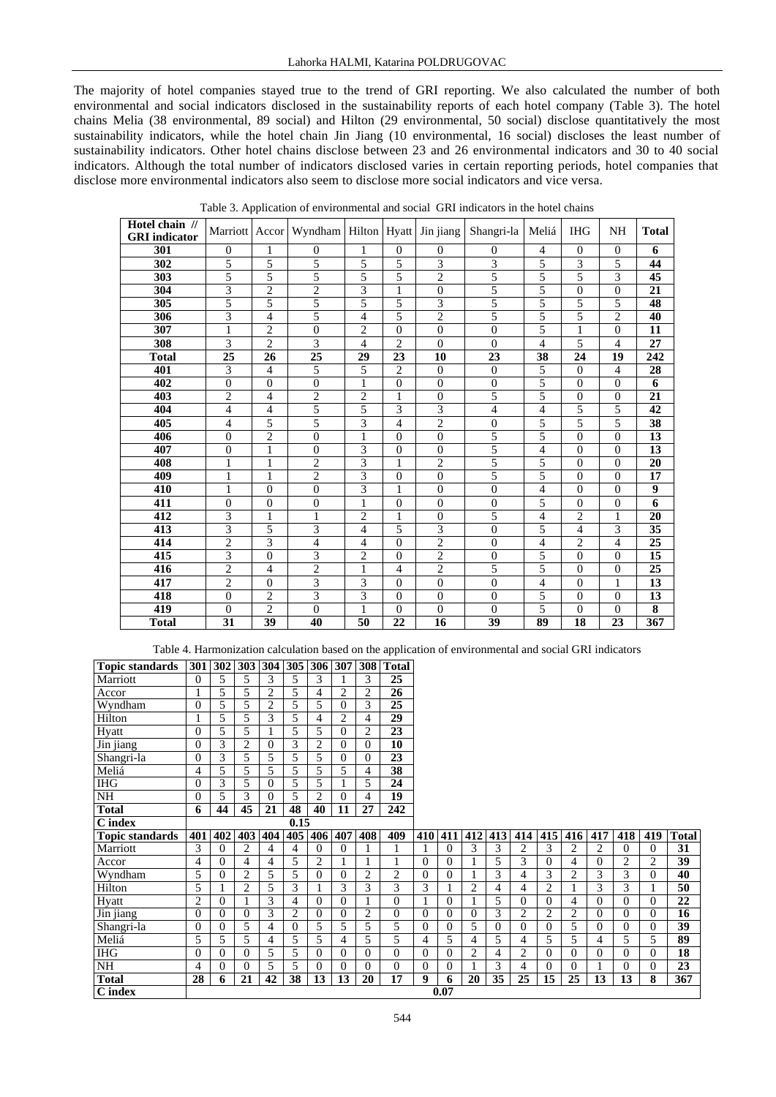The majority of hotel companies stayed true to the trend of GRI reporting. We also calculated the number of both environmental and social indicators disclosed in the sustainability reports of each hotel company (Table 3). The hotel chains Melia (38 environmental, 89 social) and Hilton (29 environmental, 50 social) disclose quantitatively the most sustainability indicators, while the hotel chain Jin Jiang (10 environmental, 16 social) discloses the least number of sustainability indicators. Other hotel chains disclose between 23 and 26 environmental indicators and 30 to 40 social indicators. Although the total number of indicators disclosed varies in certain reporting periods, hotel companies that disclose more environmental indicators also seem to disclose more social indicators and vice versa.

| Hotel chain //<br><b>GRI</b> indicator |                  |                | Marriott   Accor   Wyndham   Hilton   Hyatt   Jin jiang |                |                |                | Shangri-la       | Meliá          | <b>IHG</b>       | NH             | <b>Total</b>       |
|----------------------------------------|------------------|----------------|---------------------------------------------------------|----------------|----------------|----------------|------------------|----------------|------------------|----------------|--------------------|
| 301                                    | $\mathbf{0}$     | 1              | $\mathbf{0}$                                            | 1              | $\Omega$       | $\Omega$       | $\theta$         | $\overline{4}$ | $\Omega$         | $\Omega$       | 6                  |
| 302                                    | 5                | 5              | 5                                                       | 5              | 5              | $\overline{3}$ | $\overline{3}$   | 5              | 3                | 5              | 44                 |
| 303                                    | 5                | 5              | 5                                                       | 5              | 5              | $\overline{2}$ | 5                | 5              | 5                | 3              | 45                 |
| 304                                    | 3                | $\mathbf{2}$   | $\overline{c}$                                          | $\overline{3}$ | $\mathbf{1}$   | $\mathbf{0}$   | 5                | 5              | $\overline{0}$   | $\overline{0}$ | 21                 |
| 305                                    | 5                | 5              | 5                                                       | 5              | 5              | 3              | 5                | 5              | 5                | 5              | 48                 |
| 306                                    | 3                | $\overline{4}$ | 5                                                       | $\overline{4}$ | 5              | $\overline{2}$ | 5                | 5              | 5                | $\overline{c}$ | 40                 |
| 307                                    | $\mathbf{1}$     | $\mathbf{2}$   | $\boldsymbol{0}$                                        | $\mathbf{2}$   | $\theta$       | $\mathbf{0}$   | $\overline{0}$   | 5              | $\mathbf{1}$     | $\overline{0}$ | 11                 |
| 308                                    | 3                | $\overline{2}$ | 3                                                       | $\overline{4}$ | $\overline{2}$ | $\Omega$       | $\theta$         | $\overline{4}$ | 5                | $\overline{4}$ | 27                 |
| <b>Total</b>                           | 25               | 26             | 25                                                      | 29             | 23             | 10             | 23               | 38             | 24               | 19             | 242                |
| 401                                    | 3                | $\overline{4}$ | 5                                                       | 5              | $\overline{c}$ | $\Omega$       | $\theta$         | 5              | $\mathbf{0}$     | $\overline{4}$ | 28                 |
| 402                                    | $\theta$         | $\overline{0}$ | $\mathbf{0}$                                            | $\mathbf{1}$   | $\theta$       | $\theta$       | $\boldsymbol{0}$ | 5              | $\theta$         | $\Omega$       | 6                  |
| 403                                    | $\overline{2}$   | $\overline{4}$ | $\overline{2}$                                          | $\overline{2}$ | 1              | $\mathbf{0}$   | 5                | 5              | $\mathbf{0}$     | $\theta$       | 21                 |
| 404                                    | $\overline{4}$   | 4              | 5                                                       | 5              | 3              | $\overline{3}$ | $\overline{4}$   | $\overline{4}$ | 5                | 5              | 42                 |
| 405                                    | $\overline{4}$   | 5              | 5                                                       | 3              | $\overline{4}$ | $\overline{2}$ | $\overline{0}$   | 5              | 5                | 5              | 38                 |
| 406                                    | $\theta$         | $\overline{2}$ | $\overline{0}$                                          | $\mathbf{1}$   | $\theta$       | $\Omega$       | 5                | 5              | $\theta$         | $\theta$       | 13                 |
| 407                                    | $\boldsymbol{0}$ | $\mathbf{1}$   | $\mathbf{0}$                                            | 3              | $\overline{0}$ | $\mathbf{0}$   | 5                | $\overline{4}$ | $\boldsymbol{0}$ | $\overline{0}$ | $\overline{13}$    |
| 408                                    | $\mathbf{1}$     | $\mathbf{1}$   | $\overline{2}$                                          | 3              | 1              | $\overline{c}$ | 5                | 5              | $\mathbf{0}$     | $\overline{0}$ | 20                 |
| 409                                    | 1                | 1              | $\overline{2}$                                          | 3              | $\theta$       | $\theta$       | 5                | 5              | $\theta$         | $\theta$       | 17                 |
| 410                                    | $\mathbf{1}$     | $\overline{0}$ | $\overline{0}$                                          | 3              | $\mathbf{1}$   | $\mathbf{0}$   | $\overline{0}$   | $\overline{4}$ | $\theta$         | $\overline{0}$ | 9                  |
| 411                                    | $\theta$         | $\overline{0}$ | $\mathbf{0}$                                            | $\mathbf{1}$   | $\Omega$       | $\theta$       | $\boldsymbol{0}$ | 5              | $\theta$         | $\mathbf{0}$   | 6                  |
| 412                                    | 3                | 1              | $\mathbf{1}$                                            | $\overline{2}$ | $\mathbf{1}$   | $\overline{0}$ | 5                | $\overline{4}$ | $\overline{c}$   | $\mathbf{1}$   | 20                 |
| 413                                    | 3                | 5              | 3                                                       | $\overline{4}$ | 5              | 3              | $\mathbf{0}$     | 5              | $\overline{4}$   | 3              | $\overline{35}$    |
| 414                                    | $\overline{c}$   | $\overline{3}$ | $\overline{4}$                                          | 4              | $\overline{0}$ | $\overline{2}$ | $\mathbf{0}$     | $\overline{4}$ | $\overline{c}$   | $\overline{4}$ | 25                 |
| 415                                    | 3                | $\overline{0}$ | $\overline{3}$                                          | $\mathfrak{2}$ | $\Omega$       | $\overline{2}$ | $\theta$         | 5              | $\theta$         | $\Omega$       | 15                 |
| 416                                    | $\overline{c}$   | 4              | $\overline{c}$                                          | $\mathbf{1}$   | $\overline{4}$ | $\overline{2}$ | 5                | 5              | $\overline{0}$   | $\overline{0}$ | $\overline{25}$    |
| 417                                    | $\mathbf{2}$     | $\overline{0}$ | 3                                                       | 3              | $\overline{0}$ | $\overline{0}$ | $\mathbf{0}$     | $\overline{4}$ | $\overline{0}$   | $\mathbf{1}$   | 13                 |
| 418                                    | $\boldsymbol{0}$ | 2              | 3                                                       | 3              | $\overline{0}$ | $\theta$       | $\theta$         | 5              | $\theta$         | $\mathbf{0}$   | 13                 |
| 419                                    | $\overline{0}$   | $\overline{c}$ | $\overline{0}$                                          | $\mathbf{1}$   | $\Omega$       | $\theta$       | $\mathbf{0}$     | 5              | $\theta$         | $\theta$       | $\overline{\bf 8}$ |
| <b>Total</b>                           | 31               | 39             | 40                                                      | 50             | 22             | 16             | 39               | 89             | 18               | 23             | 367                |

Table 3. Application of environmental and social GRI indicators in the hotel chains

Table 4. Harmonization calculation based on the application of environmental and social GRI indicators

| <b>Topic standards</b> | 301            | $\mid 302 \mid$ | 303            | 304            | 305            | 306 307        |                |                | 308 Total      |          |                |                |                 |                 |                |                |                |                |                |              |
|------------------------|----------------|-----------------|----------------|----------------|----------------|----------------|----------------|----------------|----------------|----------|----------------|----------------|-----------------|-----------------|----------------|----------------|----------------|----------------|----------------|--------------|
| Marriott               | $\Omega$       | 5               | 5              | 3              | 5              | 3              |                | 3              | 25             |          |                |                |                 |                 |                |                |                |                |                |              |
| Accor                  |                | 5               | 5              | $\overline{2}$ | 5              | 4              | $\overline{2}$ | $\overline{c}$ | 26             |          |                |                |                 |                 |                |                |                |                |                |              |
| Wyndham                | $\Omega$       | 5               | 5              | 2              | 5              | 5              | $\Omega$       | 3              | 25             |          |                |                |                 |                 |                |                |                |                |                |              |
| Hilton                 |                | 5               | 5              | 3              | 5              | 4              | 2              | 4              | 29             |          |                |                |                 |                 |                |                |                |                |                |              |
| Hyatt                  | $\theta$       | 5               | 5              |                | 5              | 5              | $\Omega$       | $\overline{c}$ | 23             |          |                |                |                 |                 |                |                |                |                |                |              |
| Jin jiang              | $\Omega$       | 3               | 2              | $\Omega$       | 3              | 2              | $\Omega$       | $\Omega$       | 10             |          |                |                |                 |                 |                |                |                |                |                |              |
| Shangri-la             | $\Omega$       | 3               | 5              | 5              | 5              | 5              | $\Omega$       | $\Omega$       | 23             |          |                |                |                 |                 |                |                |                |                |                |              |
| Meliá                  | 4              | 5               | 5              | 5              | 5              | 5              | 5              | 4              | 38             |          |                |                |                 |                 |                |                |                |                |                |              |
| HIG                    | $\theta$       | 3               | 5              | $\Omega$       | 5              | 5              |                | 5              | 24             |          |                |                |                 |                 |                |                |                |                |                |              |
| $\overline{\text{NH}}$ | $\Omega$       | 5               | 3              | $\Omega$       | 5              | $\overline{c}$ | $\Omega$       | 4              | 19             |          |                |                |                 |                 |                |                |                |                |                |              |
| <b>Total</b>           | 6              | 44              | 45             | 21             | 48             | 40             | 11             | 27             | 242            |          |                |                |                 |                 |                |                |                |                |                |              |
| C index                |                |                 |                |                | 0.15           |                |                |                |                |          |                |                |                 |                 |                |                |                |                |                |              |
| <b>Topic standards</b> | 401            | 402             | 403            | 404            | 405            | 406            | 407            | 408            | 409            | 410      | 411            | 412            | 413             | 414             | 415            | 416            | 417            | 418            | 419            | <b>Total</b> |
| Marriott               | 3              | $\Omega$        | 2              | 4              | 4              | $\Omega$       | $\Omega$       |                |                |          | $\Omega$       | 3              | 3               | 2               | 3              | 2              | 2              | $\Omega$       | $\Omega$       | 31           |
| Accor                  | 4              | $\Omega$        | 4              | 4              | 5              | $\overline{c}$ |                |                |                | $\Omega$ | $\theta$       |                | 5               | 3               | $\Omega$       | 4              | $\theta$       | $\overline{2}$ | $\overline{c}$ | 39           |
| Wyndham                | 5              | 0               | $\overline{c}$ | 5              | 5              | $\Omega$       | $\Omega$       | $\overline{2}$ | $\overline{2}$ | $\Omega$ | $\Omega$       |                | 3               | 4               | 3              | $\overline{2}$ | 3              | 3              | $\Omega$       | 40           |
| Hilton                 | 5              |                 | $\overline{2}$ | 5              | 3              |                | 3              | 3              | 3              | 3        |                | $\overline{2}$ | 4               | 4               | $\overline{2}$ |                | 3              | 3              |                | 50           |
| Hyatt                  | 2              | $\Omega$        | 1              | 3              | $\overline{4}$ | $\Omega$       | $\Omega$       |                | $\Omega$       | 1        | $\Omega$       |                | 5               | $\Omega$        | $\Omega$       | 4              | $\Omega$       | $\Omega$       | $\Omega$       | 22           |
| Jin jiang              | $\Omega$       | $\Omega$        | $\Omega$       | 3              | $\overline{c}$ | $\Omega$       | $\Omega$       | $\overline{c}$ | $\theta$       | $\Omega$ | $\Omega$       | $\Omega$       | 3               | $\overline{c}$  | $\overline{c}$ | 2              | $\theta$       | 0              | $\Omega$       | 16           |
| Shangri-la             | $\overline{0}$ | $\Omega$        | 5              | 4              | $\mathbf{0}$   | 5              | 5              | 5              | 5              | $\Omega$ | $\overline{0}$ | 5              | $\theta$        | $\Omega$        | $\overline{0}$ | 5              | $\overline{0}$ | 0              | $\Omega$       | 39           |
| Meliá                  | 5              | 5               | 5              | 4              | 5              | 5              | 4              | 5              | 5              | 4        | 5              | 4              | 5               | 4               | 5              | 5              | 4              | 5              | 5              | 89           |
| I <sub>HG</sub>        | $\Omega$       | $\Omega$        | $\Omega$       | 5              | 5              | $\Omega$       | $\Omega$       | $\Omega$       | $\theta$       | $\Omega$ | $\Omega$       | $\overline{2}$ | 4               | $\overline{2}$  | $\Omega$       | $\Omega$       | $\Omega$       | $\theta$       | $\Omega$       | 18           |
| NH                     | 4              | $\Omega$        | $\Omega$       | 5              | 5              | $\theta$       | $\Omega$       | $\Omega$       | $\theta$       | $\Omega$ | $\theta$       |                | 3               | 4               | $\Omega$       | $\Omega$       |                | $\theta$       | $\Omega$       | 23           |
| <b>Total</b>           | 28             | 6               | 21             | 42             | 38             | 13             | 13             | 20             | 17             | 9        | 6              | 20             | $\overline{35}$ | $\overline{25}$ | 15             | 25             | 13             | 13             | 8              | 367          |
| C index                |                |                 |                |                |                |                |                |                |                |          | 0.07           |                |                 |                 |                |                |                |                |                |              |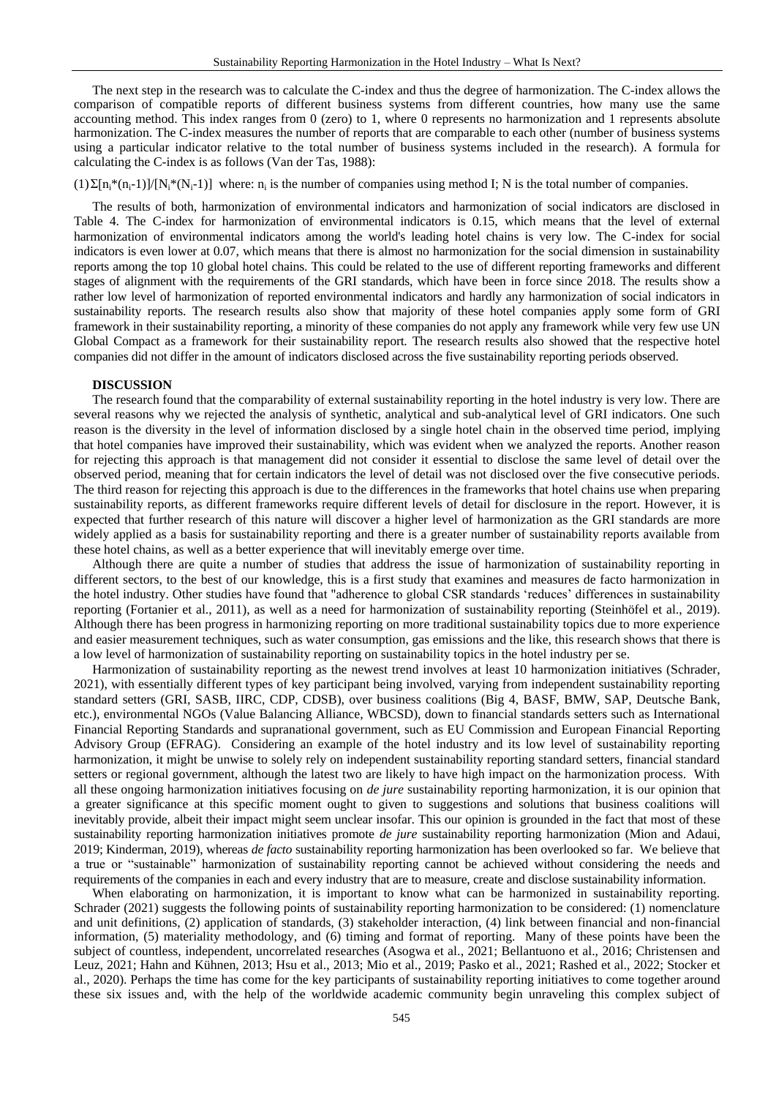The next step in the research was to calculate the C-index and thus the degree of harmonization. The C-index allows the comparison of compatible reports of different business systems from different countries, how many use the same accounting method. This index ranges from 0 (zero) to 1, where 0 represents no harmonization and 1 represents absolute harmonization. The C-index measures the number of reports that are comparable to each other (number of business systems using a particular indicator relative to the total number of business systems included in the research). A formula for calculating the C-index is as follows (Van der Tas, 1988):

 $(1)\Sigma[n_i^*(n_i-1)]/[N_i^*(N_i-1)]$  where: n<sub>i</sub> is the number of companies using method I; N is the total number of companies.

The results of both, harmonization of environmental indicators and harmonization of social indicators are disclosed in Table 4. The C-index for harmonization of environmental indicators is 0.15, which means that the level of external harmonization of environmental indicators among the world's leading hotel chains is very low. The C-index for social indicators is even lower at 0.07, which means that there is almost no harmonization for the social dimension in sustainability reports among the top 10 global hotel chains. This could be related to the use of different reporting frameworks and different stages of alignment with the requirements of the GRI standards, which have been in force since 2018. The results show a rather low level of harmonization of reported environmental indicators and hardly any harmonization of social indicators in sustainability reports. The research results also show that majority of these hotel companies apply some form of GRI framework in their sustainability reporting, a minority of these companies do not apply any framework while very few use UN Global Compact as a framework for their sustainability report. The research results also showed that the respective hotel companies did not differ in the amount of indicators disclosed across the five sustainability reporting periods observed.

#### **DISCUSSION**

The research found that the comparability of external sustainability reporting in the hotel industry is very low. There are several reasons why we rejected the analysis of synthetic, analytical and sub-analytical level of GRI indicators. One such reason is the diversity in the level of information disclosed by a single hotel chain in the observed time period, implying that hotel companies have improved their sustainability, which was evident when we analyzed the reports. Another reason for rejecting this approach is that management did not consider it essential to disclose the same level of detail over the observed period, meaning that for certain indicators the level of detail was not disclosed over the five consecutive periods. The third reason for rejecting this approach is due to the differences in the frameworks that hotel chains use when preparing sustainability reports, as different frameworks require different levels of detail for disclosure in the report. However, it is expected that further research of this nature will discover a higher level of harmonization as the GRI standards are more widely applied as a basis for sustainability reporting and there is a greater number of sustainability reports available from these hotel chains, as well as a better experience that will inevitably emerge over time.

Although there are quite a number of studies that address the issue of harmonization of sustainability reporting in different sectors, to the best of our knowledge, this is a first study that examines and measures de facto harmonization in the hotel industry. Other studies have found that "adherence to global CSR standards 'reduces' differences in sustainability reporting (Fortanier et al., 2011), as well as a need for harmonization of sustainability reporting (Steinhöfel et al., 2019). Although there has been progress in harmonizing reporting on more traditional sustainability topics due to more experience and easier measurement techniques, such as water consumption, gas emissions and the like, this research shows that there is a low level of harmonization of sustainability reporting on sustainability topics in the hotel industry per se.

Harmonization of sustainability reporting as the newest trend involves at least 10 harmonization initiatives (Schrader, 2021), with essentially different types of key participant being involved, varying from independent sustainability reporting standard setters (GRI, SASB, IIRC, CDP, CDSB), over business coalitions (Big 4, BASF, BMW, SAP, Deutsche Bank, etc.), environmental NGOs (Value Balancing Alliance, WBCSD), down to financial standards setters such as International Financial Reporting Standards and supranational government, such as EU Commission and European Financial Reporting Advisory Group (EFRAG). Considering an example of the hotel industry and its low level of sustainability reporting harmonization, it might be unwise to solely rely on independent sustainability reporting standard setters, financial standard setters or regional government, although the latest two are likely to have high impact on the harmonization process. With all these ongoing harmonization initiatives focusing on *de jure* sustainability reporting harmonization, it is our opinion that a greater significance at this specific moment ought to given to suggestions and solutions that business coalitions will inevitably provide, albeit their impact might seem unclear insofar. This our opinion is grounded in the fact that most of these sustainability reporting harmonization initiatives promote *de jure* sustainability reporting harmonization (Mion and Adaui, 2019; Kinderman, 2019), whereas *de facto* sustainability reporting harmonization has been overlooked so far. We believe that a true or "sustainable" harmonization of sustainability reporting cannot be achieved without considering the needs and requirements of the companies in each and every industry that are to measure, create and disclose sustainability information.

When elaborating on harmonization, it is important to know what can be harmonized in sustainability reporting. Schrader (2021) suggests the following points of sustainability reporting harmonization to be considered: (1) nomenclature and unit definitions, (2) application of standards, (3) stakeholder interaction, (4) link between financial and non-financial information, (5) materiality methodology, and (6) timing and format of reporting. Many of these points have been the subject of countless, independent, uncorrelated researches (Asogwa et al., 2021; Bellantuono et al., 2016; Christensen and Leuz, 2021; Hahn and Kühnen, 2013; Hsu et al., 2013; Mio et al., 2019; Pasko et al., 2021; Rashed et al., 2022; Stocker et al., 2020). Perhaps the time has come for the key participants of sustainability reporting initiatives to come together around these six issues and, with the help of the worldwide academic community begin unraveling this complex subject of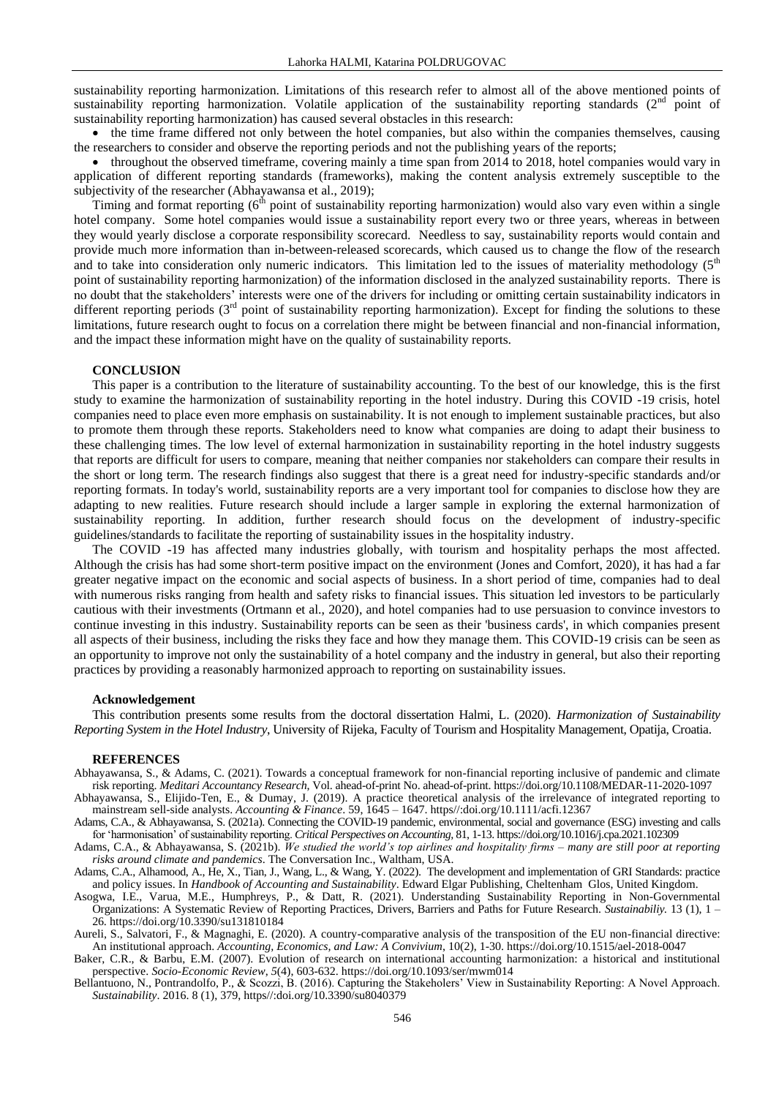sustainability reporting harmonization. Limitations of this research refer to almost all of the above mentioned points of sustainability reporting harmonization. Volatile application of the sustainability reporting standards  $(2<sup>nd</sup>$  point of sustainability reporting harmonization) has caused several obstacles in this research:

• the time frame differed not only between the hotel companies, but also within the companies themselves, causing the researchers to consider and observe the reporting periods and not the publishing years of the reports;

 throughout the observed timeframe, covering mainly a time span from 2014 to 2018, hotel companies would vary in application of different reporting standards (frameworks), making the content analysis extremely susceptible to the subjectivity of the researcher (Abhayawansa et al., 2019);

Timing and format reporting  $(6<sup>th</sup>$  point of sustainability reporting harmonization) would also vary even within a single hotel company. Some hotel companies would issue a sustainability report every two or three years, whereas in between they would yearly disclose a corporate responsibility scorecard. Needless to say, sustainability reports would contain and provide much more information than in-between-released scorecards, which caused us to change the flow of the research and to take into consideration only numeric indicators. This limitation led to the issues of materiality methodology  $(5<sup>th</sup>$ point of sustainability reporting harmonization) of the information disclosed in the analyzed sustainability reports. There is no doubt that the stakeholders' interests were one of the drivers for including or omitting certain sustainability indicators in different reporting periods  $3<sup>rd</sup>$  point of sustainability reporting harmonization). Except for finding the solutions to these limitations, future research ought to focus on a correlation there might be between financial and non-financial information, and the impact these information might have on the quality of sustainability reports.

#### **CONCLUSION**

This paper is a contribution to the literature of sustainability accounting. To the best of our knowledge, this is the first study to examine the harmonization of sustainability reporting in the hotel industry. During this COVID -19 crisis, hotel companies need to place even more emphasis on sustainability. It is not enough to implement sustainable practices, but also to promote them through these reports. Stakeholders need to know what companies are doing to adapt their business to these challenging times. The low level of external harmonization in sustainability reporting in the hotel industry suggests that reports are difficult for users to compare, meaning that neither companies nor stakeholders can compare their results in the short or long term. The research findings also suggest that there is a great need for industry-specific standards and/or reporting formats. In today's world, sustainability reports are a very important tool for companies to disclose how they are adapting to new realities. Future research should include a larger sample in exploring the external harmonization of sustainability reporting. In addition, further research should focus on the development of industry-specific guidelines/standards to facilitate the reporting of sustainability issues in the hospitality industry.

The COVID -19 has affected many industries globally, with tourism and hospitality perhaps the most affected. Although the crisis has had some short-term positive impact on the environment (Jones and Comfort, 2020), it has had a far greater negative impact on the economic and social aspects of business. In a short period of time, companies had to deal with numerous risks ranging from health and safety risks to financial issues. This situation led investors to be particularly cautious with their investments (Ortmann et al., 2020), and hotel companies had to use persuasion to convince investors to continue investing in this industry. Sustainability reports can be seen as their 'business cards', in which companies present all aspects of their business, including the risks they face and how they manage them. This COVID-19 crisis can be seen as an opportunity to improve not only the sustainability of a hotel company and the industry in general, but also their reporting practices by providing a reasonably harmonized approach to reporting on sustainability issues.

#### **Acknowledgement**

This contribution presents some results from the doctoral dissertation Halmi, L. (2020). *Harmonization of Sustainability Reporting System in the Hotel Industry*, University of Rijeka, Faculty of Tourism and Hospitality Management, Opatija, Croatia.

#### **REFERENCES**

- Abhayawansa, S., & Adams, C. (2021). Towards a conceptual framework for non-financial reporting inclusive of pandemic and climate risk reporting. *Meditari Accountancy Research*, Vol. ahead-of-print No. ahead-of-print. https://doi.org/10.1108/MEDAR-11-2020-1097 Abhayawansa, S., Elijido-Ten, E., & Dumay, J. (2019). A practice theoretical analysis of the irrelevance of integrated reporting to
- mainstream sell-side analysts. *Accounting & Finance*. 59, 1645 1647. https//:doi.org/10.1111/acfi.12367

Adams, C.A., & Abhayawansa, S. (2021a). Connecting the COVID-19 pandemic, environmental, social and governance (ESG) investing and calls for 'harmonisation' of sustainability reporting. *Critical Perspectives on Accounting,* 81, 1-13. https://doi.org/10.1016/j.cpa.2021.102309

Adams, C.A., & Abhayawansa, S. (2021b). *We studied the world's top airlines and hospitality firms – many are still poor at reporting risks around climate and pandemics*. The Conversation Inc., Waltham, USA.

Adams, C.A., Alhamood, A., He, X., Tian, J., Wang, L., & Wang, Y. (2022). The development and implementation of GRI Standards: practice and policy issues. In *Handbook of Accounting and Sustainability*. Edward Elgar Publishing, Cheltenham Glos, United Kingdom.

Asogwa, I.E., Varua, M.E., Humphreys, P., & Datt, R. (2021). Understanding Sustainability Reporting in Non-Governmental Organizations: A Systematic Review of Reporting Practices, Drivers, Barriers and Paths for Future Research. *Sustainabiliy.* 13 (1), 1 – 26. https://doi.org/10.3390/su131810184

Aureli, S., Salvatori, F., & Magnaghi, E. (2020). A country-comparative analysis of the transposition of the EU non-financial directive: An institutional approach. *Accounting, Economics, and Law: A Convivium*, 10(2), 1-30. https://doi.org/10.1515/ael-2018-0047

Baker, C.R., & Barbu, E.M. (2007). Evolution of research on international accounting harmonization: a historical and institutional perspective. *Socio-Economic Review*, *5*(4), 603-632. https://doi.org/10.1093/ser/mwm014

Bellantuono, N., Pontrandolfo, P., & Scozzi, B. (2016). Capturing the Stakeholers' View in Sustainability Reporting: A Novel Approach. *Sustainability*. 2016. 8 (1), 379, https//:doi.org/10.3390/su8040379